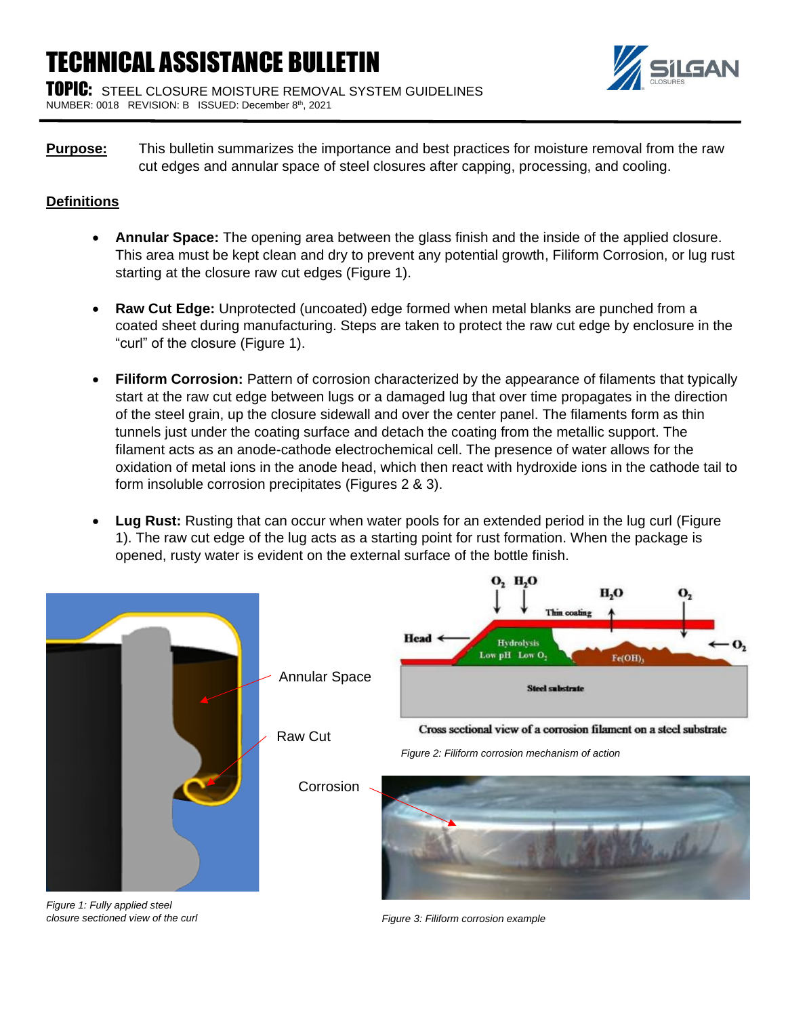## TECHNICAL ASSISTANCE BULLETIN

TOPIC: STEEL CLOSURE MOISTURE REMOVAL SYSTEM GUIDELINES NUMBER: 0018 REVISION: B ISSUED: December 8th, 2021

**Purpose:** This bulletin summarizes the importance and best practices for moisture removal from the raw cut edges and annular space of steel closures after capping, processing, and cooling.

## **Definitions**

- **Annular Space:** The opening area between the glass finish and the inside of the applied closure. This area must be kept clean and dry to prevent any potential growth, Filiform Corrosion, or lug rust starting at the closure raw cut edges (Figure 1).
- **Raw Cut Edge:** Unprotected (uncoated) edge formed when metal blanks are punched from a coated sheet during manufacturing. Steps are taken to protect the raw cut edge by enclosure in the "curl" of the closure (Figure 1).
- **Filiform Corrosion:** Pattern of corrosion characterized by the appearance of filaments that typically start at the raw cut edge between lugs or a damaged lug that over time propagates in the direction of the steel grain, up the closure sidewall and over the center panel. The filaments form as thin tunnels just under the coating surface and detach the coating from the metallic support. The filament acts as an anode-cathode electrochemical cell. The presence of water allows for the oxidation of metal ions in the anode head, which then react with hydroxide ions in the cathode tail to form insoluble corrosion precipitates (Figures 2 & 3).
- **Lug Rust:** Rusting that can occur when water pools for an extended period in the lug curl (Figure 1). The raw cut edge of the lug acts as a starting point for rust formation. When the package is opened, rusty water is evident on the external surface of the bottle finish.



*Figure 1: Fully applied steel closure sectioned view of the curl*

*Figure 3: Filiform corrosion example*